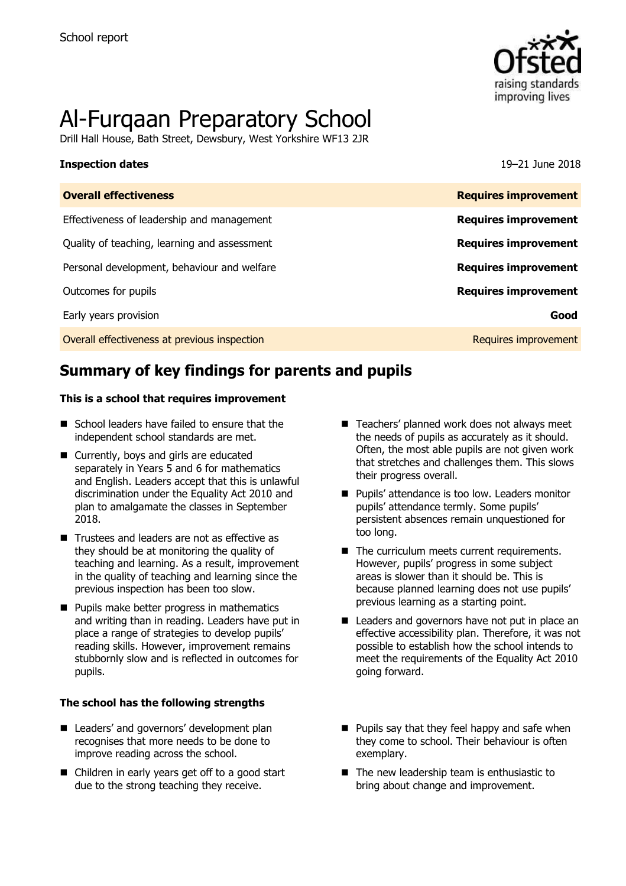

# Al-Furqaan Preparatory School

Drill Hall House, Bath Street, Dewsbury, West Yorkshire WF13 2JR

#### **Inspection dates** 19–21 June 2018

| <b>Overall effectiveness</b>                 | <b>Requires improvement</b> |
|----------------------------------------------|-----------------------------|
| Effectiveness of leadership and management   | <b>Requires improvement</b> |
| Quality of teaching, learning and assessment | <b>Requires improvement</b> |
| Personal development, behaviour and welfare  | <b>Requires improvement</b> |
| Outcomes for pupils                          | <b>Requires improvement</b> |
| Early years provision                        | Good                        |
| Overall effectiveness at previous inspection | Requires improvement        |

# **Summary of key findings for parents and pupils**

#### **This is a school that requires improvement**

- School leaders have failed to ensure that the independent school standards are met.
- Currently, boys and girls are educated separately in Years 5 and 6 for mathematics and English. Leaders accept that this is unlawful discrimination under the Equality Act 2010 and plan to amalgamate the classes in September 2018.
- Trustees and leaders are not as effective as they should be at monitoring the quality of teaching and learning. As a result, improvement in the quality of teaching and learning since the previous inspection has been too slow.
- **Pupils make better progress in mathematics** and writing than in reading. Leaders have put in place a range of strategies to develop pupils' reading skills. However, improvement remains stubbornly slow and is reflected in outcomes for pupils.

#### **The school has the following strengths**

- Leaders' and governors' development plan recognises that more needs to be done to improve reading across the school.
- Children in early years get off to a good start due to the strong teaching they receive.
- Teachers' planned work does not always meet the needs of pupils as accurately as it should. Often, the most able pupils are not given work that stretches and challenges them. This slows their progress overall.
- **Pupils' attendance is too low. Leaders monitor** pupils' attendance termly. Some pupils' persistent absences remain unquestioned for too long.
- The curriculum meets current requirements. However, pupils' progress in some subject areas is slower than it should be. This is because planned learning does not use pupils' previous learning as a starting point.
- Leaders and governors have not put in place an effective accessibility plan. Therefore, it was not possible to establish how the school intends to meet the requirements of the Equality Act 2010 going forward.
- $\blacksquare$  Pupils say that they feel happy and safe when they come to school. Their behaviour is often exemplary.
- The new leadership team is enthusiastic to bring about change and improvement.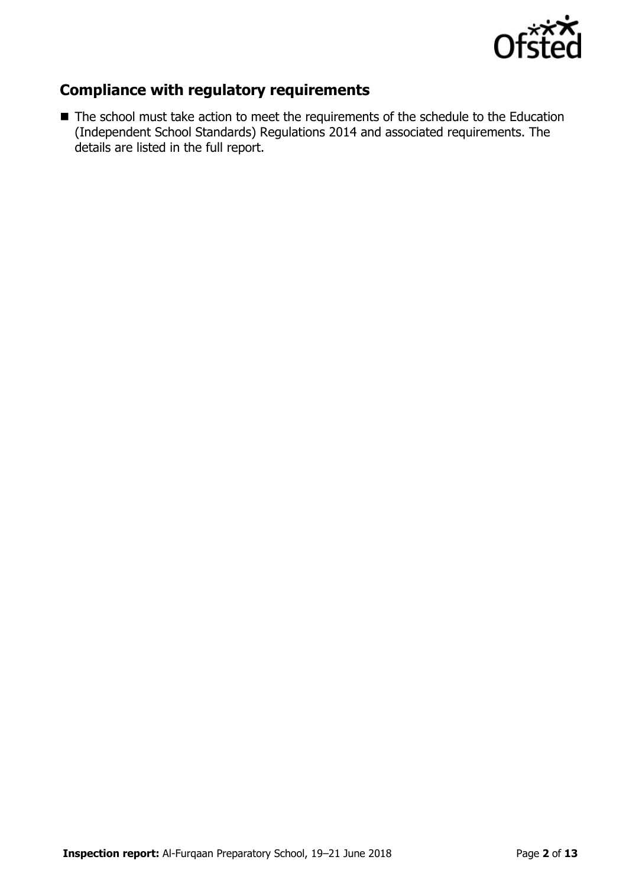

## **Compliance with regulatory requirements**

■ The school must take action to meet the requirements of the schedule to the Education (Independent School Standards) Regulations 2014 and associated requirements. The details are listed in the full report.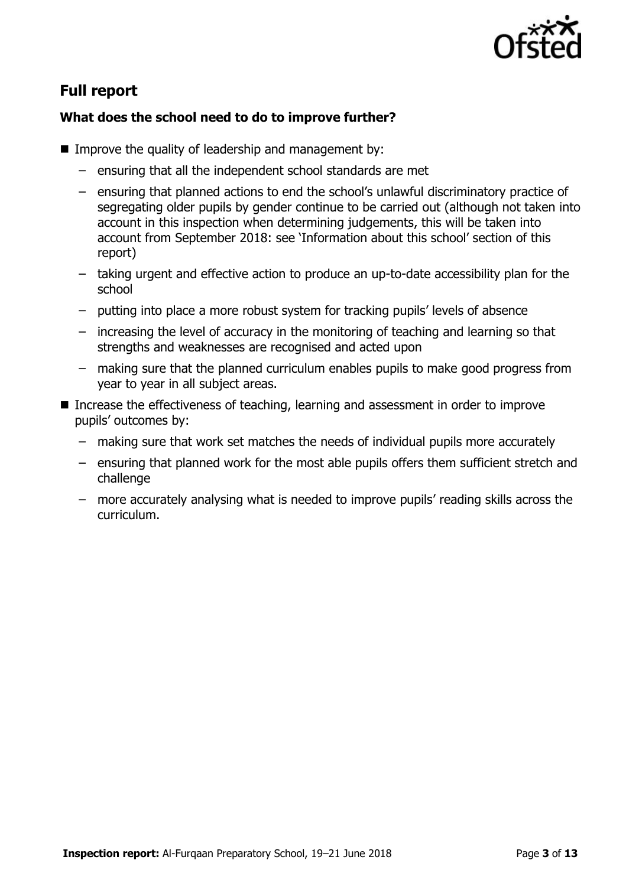

# **Full report**

### **What does the school need to do to improve further?**

- Improve the quality of leadership and management by:
	- ensuring that all the independent school standards are met
	- ensuring that planned actions to end the school's unlawful discriminatory practice of segregating older pupils by gender continue to be carried out (although not taken into account in this inspection when determining judgements, this will be taken into account from September 2018: see 'Information about this school' section of this report)
	- taking urgent and effective action to produce an up-to-date accessibility plan for the school
	- putting into place a more robust system for tracking pupils' levels of absence
	- increasing the level of accuracy in the monitoring of teaching and learning so that strengths and weaknesses are recognised and acted upon
	- making sure that the planned curriculum enables pupils to make good progress from year to year in all subject areas.
- Increase the effectiveness of teaching, learning and assessment in order to improve pupils' outcomes by:
	- making sure that work set matches the needs of individual pupils more accurately
	- ensuring that planned work for the most able pupils offers them sufficient stretch and challenge
	- more accurately analysing what is needed to improve pupils' reading skills across the curriculum.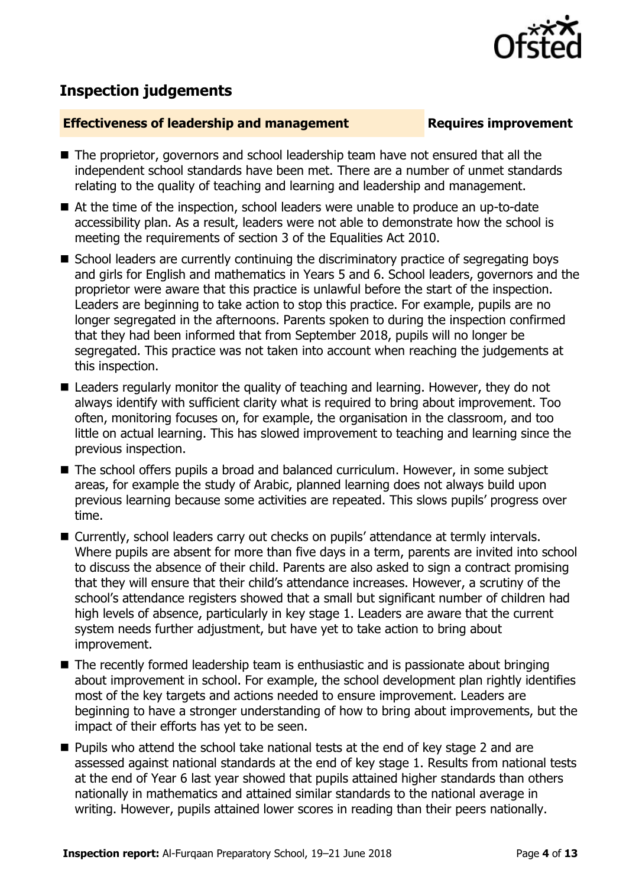

# **Inspection judgements**

#### **Effectiveness of leadership and management Requires improvement**

- The proprietor, governors and school leadership team have not ensured that all the independent school standards have been met. There are a number of unmet standards relating to the quality of teaching and learning and leadership and management.
- At the time of the inspection, school leaders were unable to produce an up-to-date accessibility plan. As a result, leaders were not able to demonstrate how the school is meeting the requirements of section 3 of the Equalities Act 2010.
- School leaders are currently continuing the discriminatory practice of segregating boys and girls for English and mathematics in Years 5 and 6. School leaders, governors and the proprietor were aware that this practice is unlawful before the start of the inspection. Leaders are beginning to take action to stop this practice. For example, pupils are no longer segregated in the afternoons. Parents spoken to during the inspection confirmed that they had been informed that from September 2018, pupils will no longer be segregated. This practice was not taken into account when reaching the judgements at this inspection.
- Leaders regularly monitor the quality of teaching and learning. However, they do not always identify with sufficient clarity what is required to bring about improvement. Too often, monitoring focuses on, for example, the organisation in the classroom, and too little on actual learning. This has slowed improvement to teaching and learning since the previous inspection.
- The school offers pupils a broad and balanced curriculum. However, in some subject areas, for example the study of Arabic, planned learning does not always build upon previous learning because some activities are repeated. This slows pupils' progress over time.
- Currently, school leaders carry out checks on pupils' attendance at termly intervals. Where pupils are absent for more than five days in a term, parents are invited into school to discuss the absence of their child. Parents are also asked to sign a contract promising that they will ensure that their child's attendance increases. However, a scrutiny of the school's attendance registers showed that a small but significant number of children had high levels of absence, particularly in key stage 1. Leaders are aware that the current system needs further adjustment, but have yet to take action to bring about improvement.
- The recently formed leadership team is enthusiastic and is passionate about bringing about improvement in school. For example, the school development plan rightly identifies most of the key targets and actions needed to ensure improvement. Leaders are beginning to have a stronger understanding of how to bring about improvements, but the impact of their efforts has yet to be seen.
- Pupils who attend the school take national tests at the end of key stage 2 and are assessed against national standards at the end of key stage 1. Results from national tests at the end of Year 6 last year showed that pupils attained higher standards than others nationally in mathematics and attained similar standards to the national average in writing. However, pupils attained lower scores in reading than their peers nationally.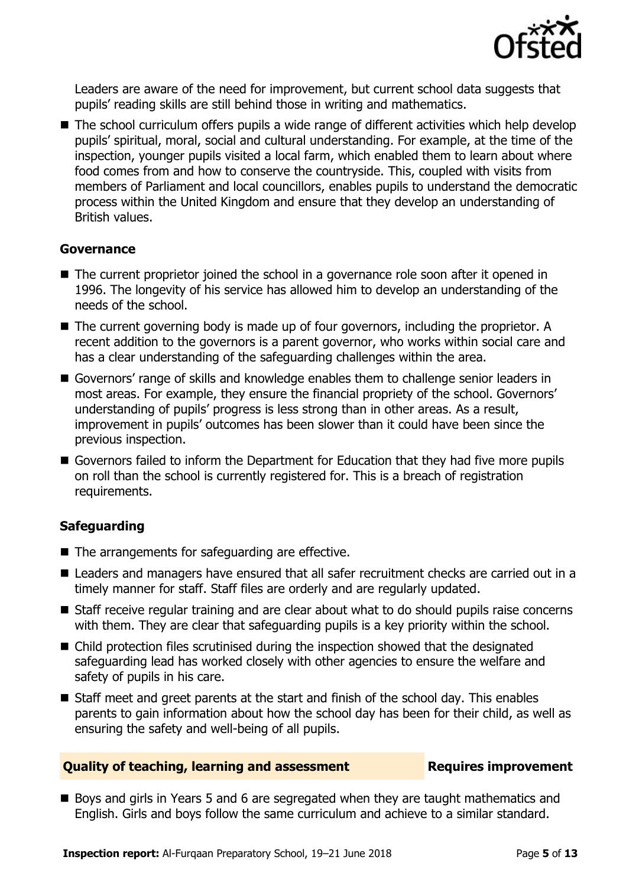

Leaders are aware of the need for improvement, but current school data suggests that pupils' reading skills are still behind those in writing and mathematics.

■ The school curriculum offers pupils a wide range of different activities which help develop pupils' spiritual, moral, social and cultural understanding. For example, at the time of the inspection, younger pupils visited a local farm, which enabled them to learn about where food comes from and how to conserve the countryside. This, coupled with visits from members of Parliament and local councillors, enables pupils to understand the democratic process within the United Kingdom and ensure that they develop an understanding of British values.

### **Governance**

- The current proprietor joined the school in a governance role soon after it opened in 1996. The longevity of his service has allowed him to develop an understanding of the needs of the school.
- The current governing body is made up of four governors, including the proprietor. A recent addition to the governors is a parent governor, who works within social care and has a clear understanding of the safeguarding challenges within the area.
- Governors' range of skills and knowledge enables them to challenge senior leaders in most areas. For example, they ensure the financial propriety of the school. Governors' understanding of pupils' progress is less strong than in other areas. As a result, improvement in pupils' outcomes has been slower than it could have been since the previous inspection.
- Governors failed to inform the Department for Education that they had five more pupils on roll than the school is currently registered for. This is a breach of registration requirements.

### **Safeguarding**

- $\blacksquare$  The arrangements for safeguarding are effective.
- Leaders and managers have ensured that all safer recruitment checks are carried out in a timely manner for staff. Staff files are orderly and are regularly updated.
- Staff receive regular training and are clear about what to do should pupils raise concerns with them. They are clear that safeguarding pupils is a key priority within the school.
- Child protection files scrutinised during the inspection showed that the designated safeguarding lead has worked closely with other agencies to ensure the welfare and safety of pupils in his care.
- Staff meet and greet parents at the start and finish of the school day. This enables parents to gain information about how the school day has been for their child, as well as ensuring the safety and well-being of all pupils.

#### **Quality of teaching, learning and assessment Fig. 2.1 Requires improvement**

Boys and girls in Years 5 and 6 are segregated when they are taught mathematics and English. Girls and boys follow the same curriculum and achieve to a similar standard.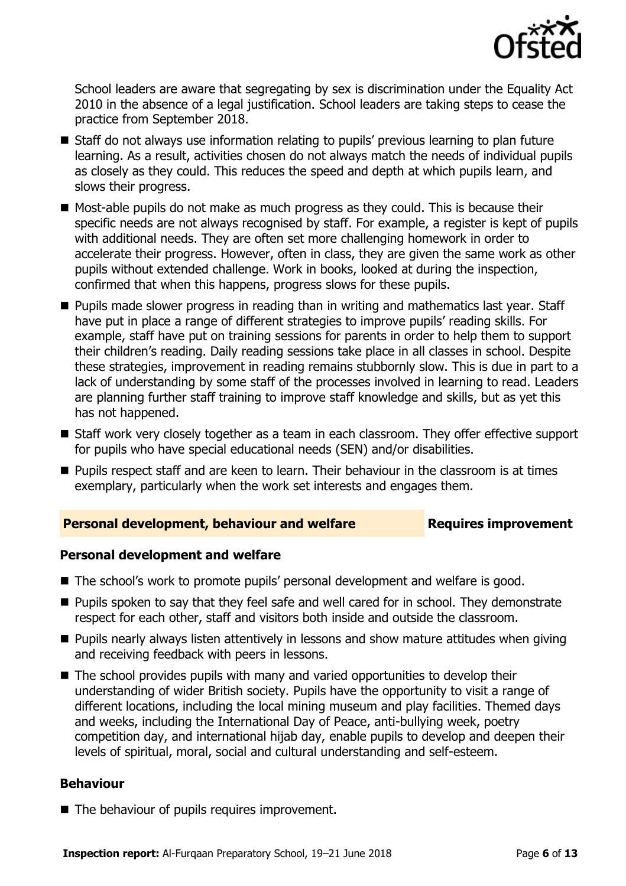

School leaders are aware that segregating by sex is discrimination under the Equality Act 2010 in the absence of a legal justification. School leaders are taking steps to cease the practice from September 2018.

- Staff do not always use information relating to pupils' previous learning to plan future learning. As a result, activities chosen do not always match the needs of individual pupils as closely as they could. This reduces the speed and depth at which pupils learn, and slows their progress.
- Most-able pupils do not make as much progress as they could. This is because their specific needs are not always recognised by staff. For example, a register is kept of pupils with additional needs. They are often set more challenging homework in order to accelerate their progress. However, often in class, they are given the same work as other pupils without extended challenge. Work in books, looked at during the inspection, confirmed that when this happens, progress slows for these pupils.
- **Pupils made slower progress in reading than in writing and mathematics last year. Staff** have put in place a range of different strategies to improve pupils' reading skills. For example, staff have put on training sessions for parents in order to help them to support their children's reading. Daily reading sessions take place in all classes in school. Despite these strategies, improvement in reading remains stubbornly slow. This is due in part to a lack of understanding by some staff of the processes involved in learning to read. Leaders are planning further staff training to improve staff knowledge and skills, but as yet this has not happened.
- Staff work very closely together as a team in each classroom. They offer effective support for pupils who have special educational needs (SEN) and/or disabilities.
- **Pupils respect staff and are keen to learn. Their behaviour in the classroom is at times** exemplary, particularly when the work set interests and engages them.

### **Personal development, behaviour and welfare <b>Requires improvement**

#### **Personal development and welfare**

- The school's work to promote pupils' personal development and welfare is good.
- **Pupils spoken to say that they feel safe and well cared for in school. They demonstrate** respect for each other, staff and visitors both inside and outside the classroom.
- **Pupils nearly always listen attentively in lessons and show mature attitudes when giving** and receiving feedback with peers in lessons.
- The school provides pupils with many and varied opportunities to develop their understanding of wider British society. Pupils have the opportunity to visit a range of different locations, including the local mining museum and play facilities. Themed days and weeks, including the International Day of Peace, anti-bullying week, poetry competition day, and international hijab day, enable pupils to develop and deepen their levels of spiritual, moral, social and cultural understanding and self-esteem.

#### **Behaviour**

■ The behaviour of pupils requires improvement.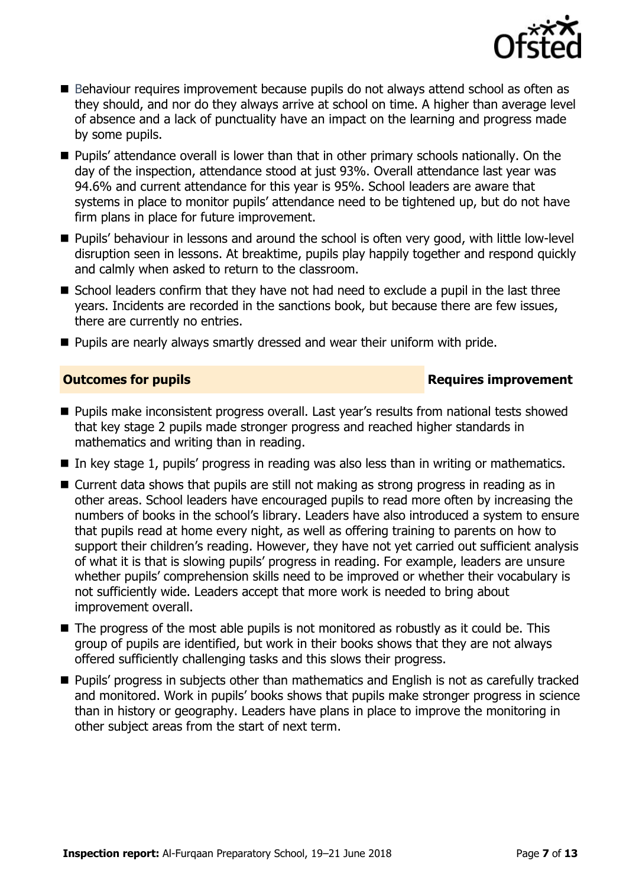

- Behaviour requires improvement because pupils do not always attend school as often as they should, and nor do they always arrive at school on time. A higher than average level of absence and a lack of punctuality have an impact on the learning and progress made by some pupils.
- **Pupils' attendance overall is lower than that in other primary schools nationally. On the** day of the inspection, attendance stood at just 93%. Overall attendance last year was 94.6% and current attendance for this year is 95%. School leaders are aware that systems in place to monitor pupils' attendance need to be tightened up, but do not have firm plans in place for future improvement.
- **Pupils' behaviour in lessons and around the school is often very good, with little low-level** disruption seen in lessons. At breaktime, pupils play happily together and respond quickly and calmly when asked to return to the classroom.
- School leaders confirm that they have not had need to exclude a pupil in the last three years. Incidents are recorded in the sanctions book, but because there are few issues, there are currently no entries.
- **Pupils are nearly always smartly dressed and wear their uniform with pride.**

### **Outcomes for pupils Requires improvement**

- **Pupils make inconsistent progress overall. Last year's results from national tests showed** that key stage 2 pupils made stronger progress and reached higher standards in mathematics and writing than in reading.
- In key stage 1, pupils' progress in reading was also less than in writing or mathematics.
- Current data shows that pupils are still not making as strong progress in reading as in other areas. School leaders have encouraged pupils to read more often by increasing the numbers of books in the school's library. Leaders have also introduced a system to ensure that pupils read at home every night, as well as offering training to parents on how to support their children's reading. However, they have not yet carried out sufficient analysis of what it is that is slowing pupils' progress in reading. For example, leaders are unsure whether pupils' comprehension skills need to be improved or whether their vocabulary is not sufficiently wide. Leaders accept that more work is needed to bring about improvement overall.
- $\blacksquare$  The progress of the most able pupils is not monitored as robustly as it could be. This group of pupils are identified, but work in their books shows that they are not always offered sufficiently challenging tasks and this slows their progress.
- **Pupils' progress in subjects other than mathematics and English is not as carefully tracked** and monitored. Work in pupils' books shows that pupils make stronger progress in science than in history or geography. Leaders have plans in place to improve the monitoring in other subject areas from the start of next term.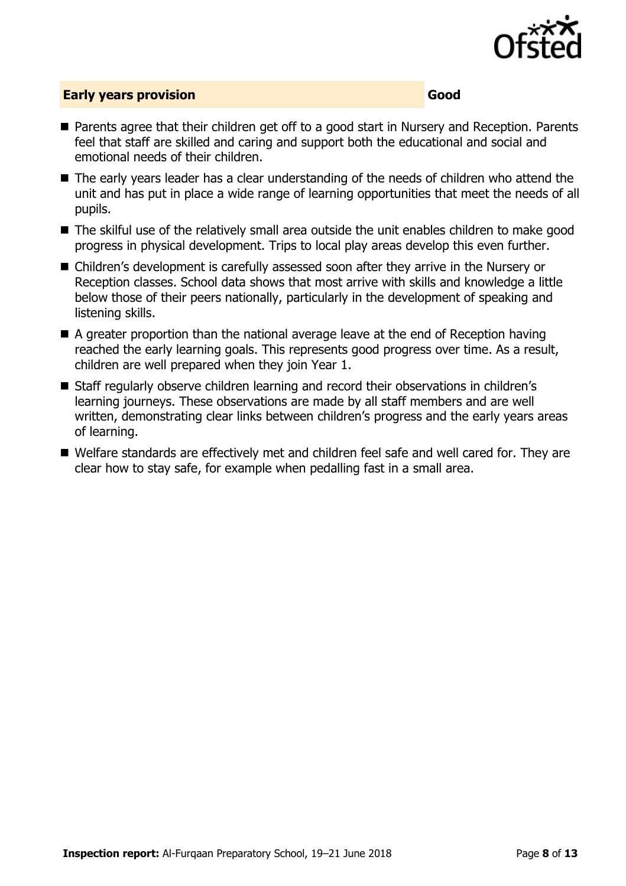

### **Early years provision Good Good**

- Parents agree that their children get off to a good start in Nursery and Reception. Parents feel that staff are skilled and caring and support both the educational and social and emotional needs of their children.
- The early years leader has a clear understanding of the needs of children who attend the unit and has put in place a wide range of learning opportunities that meet the needs of all pupils.
- The skilful use of the relatively small area outside the unit enables children to make good progress in physical development. Trips to local play areas develop this even further.
- Children's development is carefully assessed soon after they arrive in the Nursery or Reception classes. School data shows that most arrive with skills and knowledge a little below those of their peers nationally, particularly in the development of speaking and listening skills.
- A greater proportion than the national average leave at the end of Reception having reached the early learning goals. This represents good progress over time. As a result, children are well prepared when they join Year 1.
- Staff regularly observe children learning and record their observations in children's learning journeys. These observations are made by all staff members and are well written, demonstrating clear links between children's progress and the early years areas of learning.
- Welfare standards are effectively met and children feel safe and well cared for. They are clear how to stay safe, for example when pedalling fast in a small area.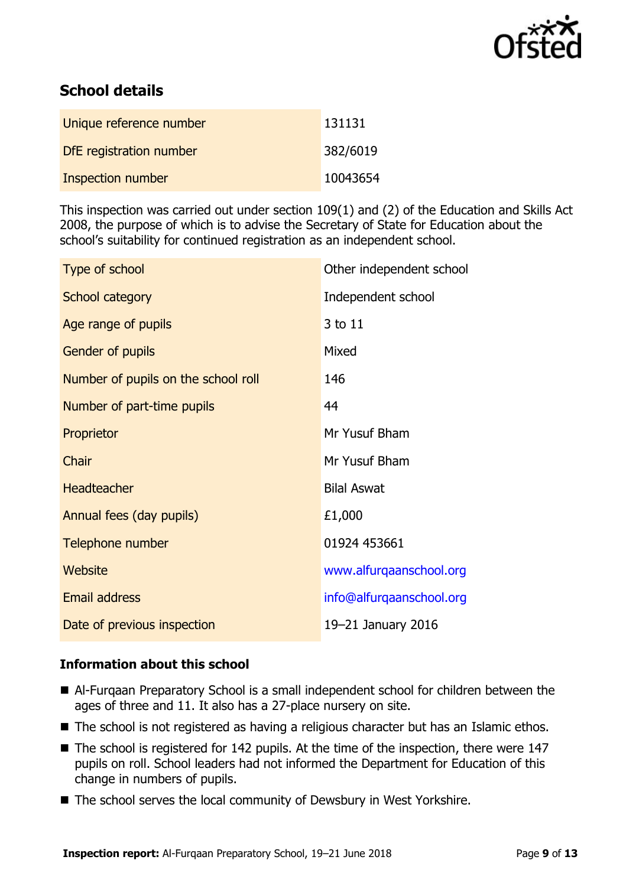

# **School details**

| Unique reference number | 131131   |
|-------------------------|----------|
| DfE registration number | 382/6019 |
| Inspection number       | 10043654 |

This inspection was carried out under section 109(1) and (2) of the Education and Skills Act 2008, the purpose of which is to advise the Secretary of State for Education about the school's suitability for continued registration as an independent school.

| Type of school                      | Other independent school |
|-------------------------------------|--------------------------|
| School category                     | Independent school       |
| Age range of pupils                 | 3 to 11                  |
| <b>Gender of pupils</b>             | Mixed                    |
| Number of pupils on the school roll | 146                      |
| Number of part-time pupils          | 44                       |
| Proprietor                          | Mr Yusuf Bham            |
| Chair                               | Mr Yusuf Bham            |
| <b>Headteacher</b>                  | <b>Bilal Aswat</b>       |
| Annual fees (day pupils)            | £1,000                   |
| Telephone number                    | 01924 453661             |
| Website                             | www.alfurqaanschool.org  |
| <b>Email address</b>                | info@alfurqaanschool.org |
| Date of previous inspection         | 19-21 January 2016       |

### **Information about this school**

- Al-Furqaan Preparatory School is a small independent school for children between the ages of three and 11. It also has a 27-place nursery on site.
- The school is not registered as having a religious character but has an Islamic ethos.
- The school is registered for 142 pupils. At the time of the inspection, there were 147 pupils on roll. School leaders had not informed the Department for Education of this change in numbers of pupils.
- The school serves the local community of Dewsbury in West Yorkshire.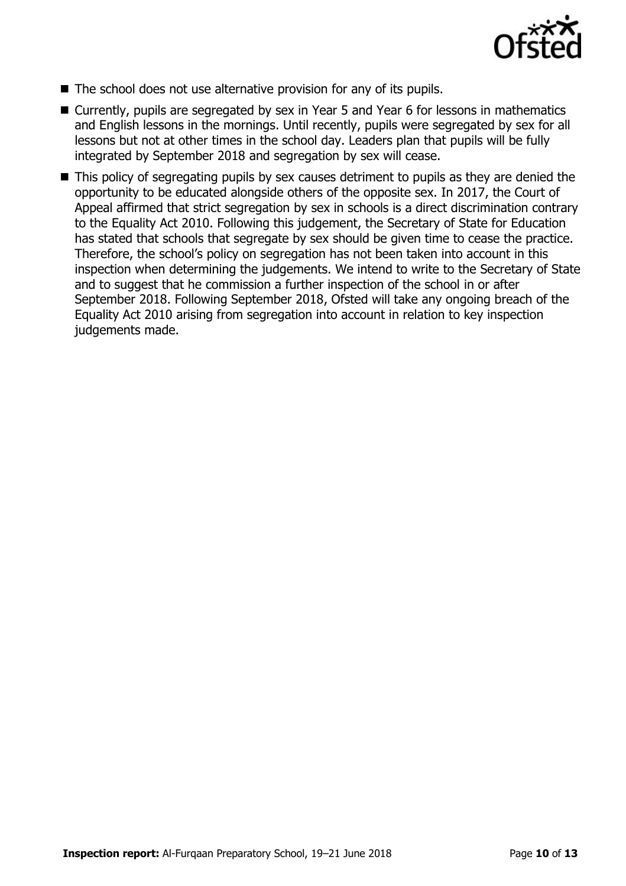

- The school does not use alternative provision for any of its pupils.
- Currently, pupils are segregated by sex in Year 5 and Year 6 for lessons in mathematics and English lessons in the mornings. Until recently, pupils were segregated by sex for all lessons but not at other times in the school day. Leaders plan that pupils will be fully integrated by September 2018 and segregation by sex will cease.
- This policy of segregating pupils by sex causes detriment to pupils as they are denied the opportunity to be educated alongside others of the opposite sex. In 2017, the Court of Appeal affirmed that strict segregation by sex in schools is a direct discrimination contrary to the Equality Act 2010. Following this judgement, the Secretary of State for Education has stated that schools that segregate by sex should be given time to cease the practice. Therefore, the school's policy on segregation has not been taken into account in this inspection when determining the judgements. We intend to write to the Secretary of State and to suggest that he commission a further inspection of the school in or after September 2018. Following September 2018, Ofsted will take any ongoing breach of the Equality Act 2010 arising from segregation into account in relation to key inspection judgements made.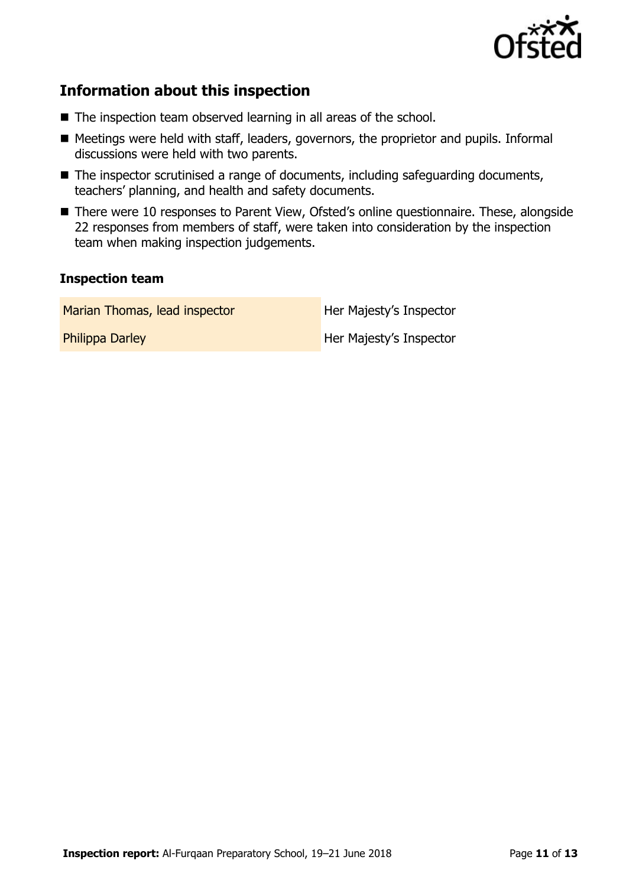

# **Information about this inspection**

- The inspection team observed learning in all areas of the school.
- Meetings were held with staff, leaders, governors, the proprietor and pupils. Informal discussions were held with two parents.
- The inspector scrutinised a range of documents, including safeguarding documents, teachers' planning, and health and safety documents.
- There were 10 responses to Parent View, Ofsted's online questionnaire. These, alongside 22 responses from members of staff, were taken into consideration by the inspection team when making inspection judgements.

#### **Inspection team**

Marian Thomas, lead inspector **Her Majesty's Inspector** 

**Philippa Darley Her Majesty's Inspector**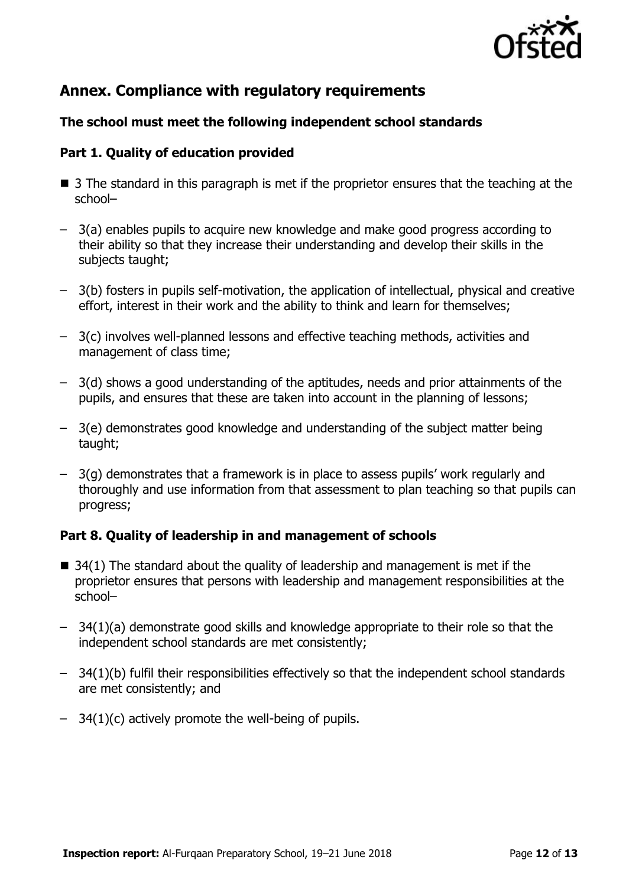

# **Annex. Compliance with regulatory requirements**

### **The school must meet the following independent school standards**

### **Part 1. Quality of education provided**

- 3 The standard in this paragraph is met if the proprietor ensures that the teaching at the school–
- 3(a) enables pupils to acquire new knowledge and make good progress according to their ability so that they increase their understanding and develop their skills in the subjects taught;
- 3(b) fosters in pupils self-motivation, the application of intellectual, physical and creative effort, interest in their work and the ability to think and learn for themselves;
- 3(c) involves well-planned lessons and effective teaching methods, activities and management of class time;
- 3(d) shows a good understanding of the aptitudes, needs and prior attainments of the pupils, and ensures that these are taken into account in the planning of lessons;
- 3(e) demonstrates good knowledge and understanding of the subject matter being taught;
- 3(g) demonstrates that a framework is in place to assess pupils' work regularly and thoroughly and use information from that assessment to plan teaching so that pupils can progress;

### **Part 8. Quality of leadership in and management of schools**

- $\blacksquare$  34(1) The standard about the quality of leadership and management is met if the proprietor ensures that persons with leadership and management responsibilities at the school–
- 34(1)(a) demonstrate good skills and knowledge appropriate to their role so that the independent school standards are met consistently;
- 34(1)(b) fulfil their responsibilities effectively so that the independent school standards are met consistently; and
- 34(1)(c) actively promote the well-being of pupils.